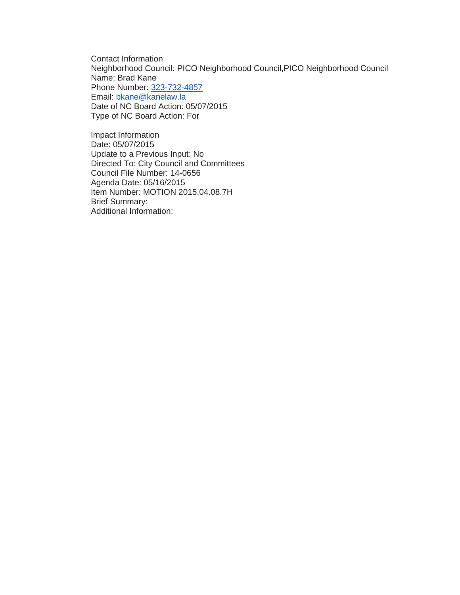Contact Information Neighborhood Council: PICO Neighborhood Council,PICO Neighborhood Council Name: Brad Kane Phone Number: [323-732-4857](tel:323-732-4857) Email: [bkane@kanelaw.la](mailto:bkane@kanelaw.la) Date of NC Board Action: 05/07/2015 Type of NC Board Action: For

Impact Information Date: 05/07/2015 Update to a Previous Input: No Directed To: City Council and Committees Council File Number: 14-0656 Agenda Date: 05/16/2015 Item Number: MOTION 2015.04.08.7H Brief Summary: Additional Information: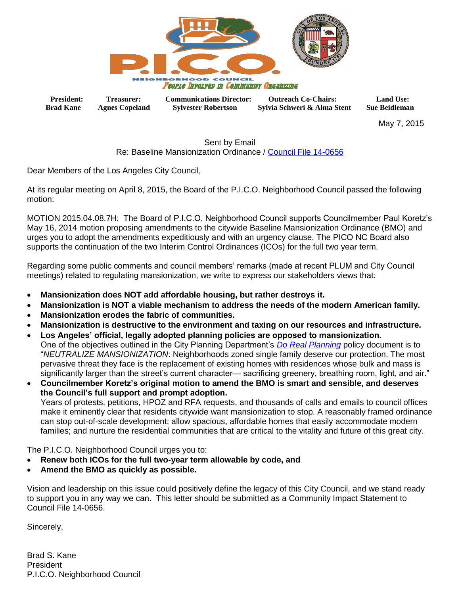

**President: Treasurer: Communications Director: Outreach Co-Chairs: Land Use:** Agnes Copeland Sylvester Robertson Sylvia Schweri & Alma Stent

May 7, 2015

## Sent by Email Re: Baseline Mansionization Ordinance / [Council File 14-0656](http://cityclerk.lacity.org/lacityclerkconnect/index.cfm?fa=ccfi.viewrecord&cfnumber=14-0656)

Dear Members of the Los Angeles City Council,

At its regular meeting on April 8, 2015, the Board of the P.I.C.O. Neighborhood Council passed the following motion:

MOTION 2015.04.08.7H: The Board of P.I.C.O. Neighborhood Council supports Councilmember Paul Koretz's May 16, 2014 motion proposing amendments to the citywide Baseline Mansionization Ordinance (BMO) and urges you to adopt the amendments expeditiously and with an urgency clause. The PICO NC Board also supports the continuation of the two Interim Control Ordinances (ICOs) for the full two year term.

Regarding some public comments and council members' remarks (made at recent PLUM and City Council meetings) related to regulating mansionization, we write to express our stakeholders views that:

- **Mansionization does NOT add affordable housing, but rather destroys it.**
- **Mansionization is NOT a viable mechanism to address the needs of the modern American family.**
- **Mansionization erodes the fabric of communities.**
- **Mansionization is destructive to the environment and taxing on our resources and infrastructure.**
- **Los Angeles' official, legally adopted planning policies are opposed to mansionization.** One of the objectives outlined in the City Planning Department's *Do Real [Planning](http://cityplanning.lacity.org/forms_Procedures/do-real-planning-final_1.pdf)* policy document is to "*NEUTRALIZE MANSIONIZATION*: Neighborhoods zoned single family deserve our protection. The most pervasive threat they face is the replacement of existing homes with residences whose bulk and mass is significantly larger than the street's current character— sacrificing greenery, breathing room, light, and air."
- **Councilmember Koretz's original motion to amend the BMO is smart and sensible, and deserves the Council's full support and prompt adoption.**  Years of protests, petitions, HPOZ and RFA requests, and thousands of calls and emails to council offices

make it eminently clear that residents citywide want mansionization to stop. A reasonably framed ordinance can stop out-of-scale development; allow spacious, affordable homes that easily accommodate modern families; and nurture the residential communities that are critical to the vitality and future of this great city.

The P.I.C.O. Neighborhood Council urges you to:

- **Renew both ICOs for the full two-year term allowable by code, and**
- **Amend the BMO as quickly as possible.**

Vision and leadership on this issue could positively define the legacy of this City Council, and we stand ready to support you in any way we can. This letter should be submitted as a Community Impact Statement to Council File 14-0656.

Sincerely,

Brad S. Kane President P.I.C.O. Neighborhood Council